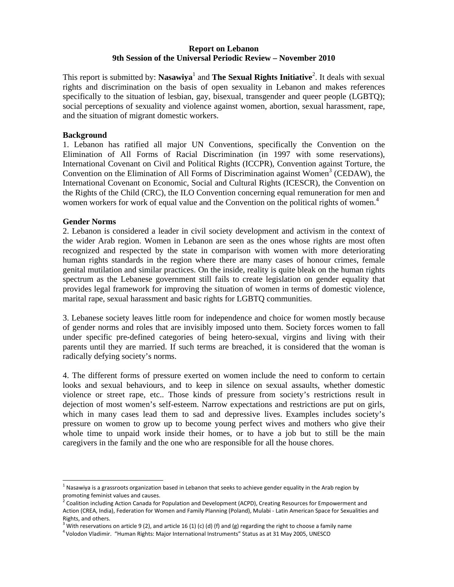## **Report on Lebanon 9th Session of the Universal Periodic Review – November 2010**

This report is submitted by: Nasawiya<sup>1</sup> and The Sexual Rights Initiative<sup>2</sup>. It deals with sexual rights and discrimination on the basis of open sexuality in Lebanon and makes references specifically to the situation of lesbian, gay, bisexual, transgender and queer people (LGBTQ); social perceptions of sexuality and violence against women, abortion, sexual harassment, rape, and the situation of migrant domestic workers.

# **Background**

1. Lebanon has ratified all major UN Conventions, specifically the Convention on the Elimination of All Forms of Racial Discrimination (in 1997 with some reservations), International Covenant on Civil and Political Rights (ICCPR), Convention against Torture, the Convention on the Elimination of All Forms of Discrimination against Women<sup>3</sup> (CEDAW), the International Covenant on Economic, Social and Cultural Rights (ICESCR), the Convention on the Rights of the Child (CRC), the ILO Convention concerning equal remuneration for men and women workers for work of equal value and the Convention on the political rights of women.<sup>4</sup>

#### **Gender Norms**

 $\overline{a}$ 

2. Lebanon is considered a leader in civil society development and activism in the context of the wider Arab region. Women in Lebanon are seen as the ones whose rights are most often recognized and respected by the state in comparison with women with more deteriorating human rights standards in the region where there are many cases of honour crimes, female genital mutilation and similar practices. On the inside, reality is quite bleak on the human rights spectrum as the Lebanese government still fails to create legislation on gender equality that provides legal framework for improving the situation of women in terms of domestic violence, marital rape, sexual harassment and basic rights for LGBTQ communities.

3. Lebanese society leaves little room for independence and choice for women mostly because of gender norms and roles that are invisibly imposed unto them. Society forces women to fall under specific pre-defined categories of being hetero-sexual, virgins and living with their parents until they are married. If such terms are breached, it is considered that the woman is radically defying society's norms.

4. The different forms of pressure exerted on women include the need to conform to certain looks and sexual behaviours, and to keep in silence on sexual assaults, whether domestic violence or street rape, etc.. Those kinds of pressure from society's restrictions result in dejection of most women's self-esteem. Narrow expectations and restrictions are put on girls, which in many cases lead them to sad and depressive lives. Examples includes society's pressure on women to grow up to become young perfect wives and mothers who give their whole time to unpaid work inside their homes, or to have a job but to still be the main caregivers in the family and the one who are responsible for all the house chores.

 $1$  Nasawiya is a grassroots organization based in Lebanon that seeks to achieve gender equality in the Arab region by promoting feminist values and causes.<br><sup>2</sup> Coalition including Action Canada for Population and Development (ACPD), Creating Resources for Empowerment and

Action (CREA, India), Federation for Women and Family Planning (Poland), Mulabi ‐ Latin American Space for Sexualities and

Rights, and others.<br><sup>3</sup> With reservations on article 9 (2), and article 16 (1) (c) (d) (f) and (g) regarding the right to choose a family name

Volodon Vladimir. "Human Rights: Major International Instruments" Status as at 31 May 2005, UNESCO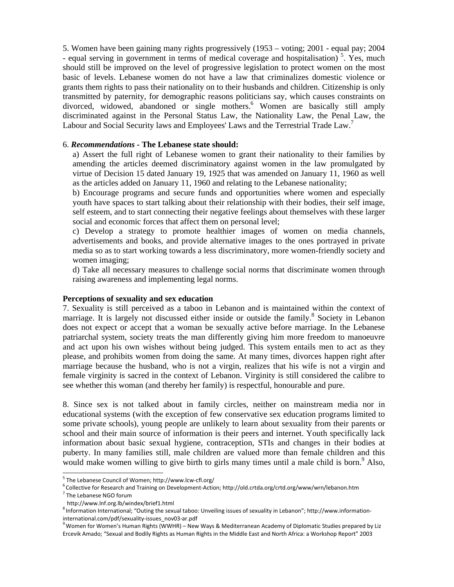5. Women have been gaining many rights progressively (1953 – voting; 2001 - equal pay; 2004 - equal serving in government in terms of medical coverage and hospitalisation)<sup>5</sup>. Yes, much should still be improved on the level of progressive legislation to protect women on the most basic of levels. Lebanese women do not have a law that criminalizes domestic violence or grants them rights to pass their nationality on to their husbands and children. Citizenship is only transmitted by paternity, for demographic reasons politicians say, which causes constraints on divorced, widowed, abandoned or single mothers.<sup>6</sup> Women are basically still amply discriminated against in the Personal Status Law, the Nationality Law, the Penal Law, the Labour and Social Security laws and Employees' Laws and the Terrestrial Trade Law.<sup>7</sup>

#### 6. *Recommendations -* **The Lebanese state should:**

a) Assert the full right of Lebanese women to grant their nationality to their families by amending the articles deemed discriminatory against women in the law promulgated by virtue of Decision 15 dated January 19, 1925 that was amended on January 11, 1960 as well as the articles added on January 11, 1960 and relating to the Lebanese nationality;

b) Encourage programs and secure funds and opportunities where women and especially youth have spaces to start talking about their relationship with their bodies, their self image, self esteem, and to start connecting their negative feelings about themselves with these larger social and economic forces that affect them on personal level;

c) Develop a strategy to promote healthier images of women on media channels, advertisements and books, and provide alternative images to the ones portrayed in private media so as to start working towards a less discriminatory, more women-friendly society and women imaging;

d) Take all necessary measures to challenge social norms that discriminate women through raising awareness and implementing legal norms.

#### **Perceptions of sexuality and sex education**

7. Sexuality is still perceived as a taboo in Lebanon and is maintained within the context of marriage. It is largely not discussed either inside or outside the family.<sup>8</sup> Society in Lebanon does not expect or accept that a woman be sexually active before marriage. In the Lebanese patriarchal system, society treats the man differently giving him more freedom to manoeuvre and act upon his own wishes without being judged. This system entails men to act as they please, and prohibits women from doing the same. At many times, divorces happen right after marriage because the husband, who is not a virgin, realizes that his wife is not a virgin and female virginity is sacred in the context of Lebanon. Virginity is still considered the calibre to see whether this woman (and thereby her family) is respectful, honourable and pure.

8. Since sex is not talked about in family circles, neither on mainstream media nor in educational systems (with the exception of few conservative sex education programs limited to some private schools), young people are unlikely to learn about sexuality from their parents or school and their main source of information is their peers and internet. Youth specifically lack information about basic sexual hygiene, contraception, STIs and changes in their bodies at puberty. In many families still, male children are valued more than female children and this would make women willing to give birth to girls many times until a male child is born.<sup>9</sup> Also,

j

<sup>5</sup> The Lebanese Council of Women; http://www.lcw‐cfl.org/ <sup>6</sup>

 $^6$ Collective for Research and Training on Development-Action; http://old.crtda.org/crtd.org/www/wrn/lebanon.htm<br><sup>7</sup> The Lebanese NGO forum

http://www.lnf.org.lb/windex/brief1.html

<sup>8</sup> Information International; "Outing the sexual taboo: Unveiling issues of sexuality in Lebanon"; http://www.information‐ international.com/pdf/sexuality-issues\_nov03-ar.pdf

Women for Women's Human Rights (WWHR) – New Ways & Mediterranean Academy of Diplomatic Studies prepared by Liz Ercevik Amado; "Sexual and Bodily Rights as Human Rights in the Middle East and North Africa: a Workshop Report" 2003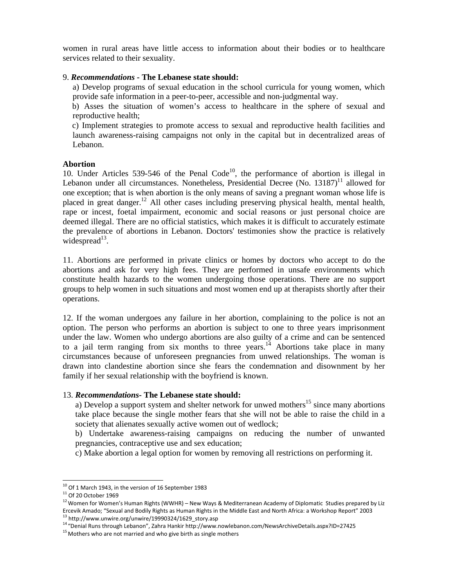women in rural areas have little access to information about their bodies or to healthcare services related to their sexuality.

## 9. *Recommendations -* **The Lebanese state should:**

a) Develop programs of sexual education in the school curricula for young women, which provide safe information in a peer-to-peer, accessible and non-judgmental way.

b) Asses the situation of women's access to healthcare in the sphere of sexual and reproductive health;

c) Implement strategies to promote access to sexual and reproductive health facilities and launch awareness-raising campaigns not only in the capital but in decentralized areas of Lebanon.

#### **Abortion**

10. Under Articles 539-546 of the Penal Code<sup>10</sup>, the performance of abortion is illegal in Lebanon under all circumstances. Nonetheless, Presidential Decree (No.  $13187$ )<sup>11</sup> allowed for one exception; that is when abortion is the only means of saving a pregnant woman whose life is placed in great danger.12 All other cases including preserving physical health, mental health, rape or incest, foetal impairment, economic and social reasons or just personal choice are deemed illegal. There are no official statistics, which makes it is difficult to accurately estimate the prevalence of abortions in Lebanon. Doctors' testimonies show the practice is relatively widespread $13$ .

11. Abortions are performed in private clinics or homes by doctors who accept to do the abortions and ask for very high fees. They are performed in unsafe environments which constitute health hazards to the women undergoing those operations. There are no support groups to help women in such situations and most women end up at therapists shortly after their operations.

12. If the woman undergoes any failure in her abortion, complaining to the police is not an option. The person who performs an abortion is subject to one to three years imprisonment under the law. Women who undergo abortions are also guilty of a crime and can be sentenced to a jail term ranging from six months to three years.<sup>14</sup> Abortions take place in many circumstances because of unforeseen pregnancies from unwed relationships. The woman is drawn into clandestine abortion since she fears the condemnation and disownment by her family if her sexual relationship with the boyfriend is known.

# 13. *Recommendations-* **The Lebanese state should:**

a) Develop a support system and shelter network for unwed mothers<sup>15</sup> since many abortions take place because the single mother fears that she will not be able to raise the child in a society that alienates sexually active women out of wedlock;

b) Undertake awareness-raising campaigns on reducing the number of unwanted pregnancies, contraceptive use and sex education;

c) Make abortion a legal option for women by removing all restrictions on performing it.

 $\overline{a}$ 

<sup>&</sup>lt;sup>10</sup> Of 1 March 1943, in the version of 16 September 1983<br><sup>11</sup> Of 20 October 1969<br><sup>12</sup> Women for Women's Human Rights (WWHR) – New Ways & Mediterranean Academy of Diplomatic Studies prepared by Liz Ercevik Amado; "Sexual and Bodily Rights as Human Rights in the Middle East and North Africa: a Workshop Report" 2003<br><sup>13</sup> http://www.unwire.org/unwire/19990324/1629\_story.asp<br><sup>14</sup> "Denial Runs through Lebanon", Zahra Hank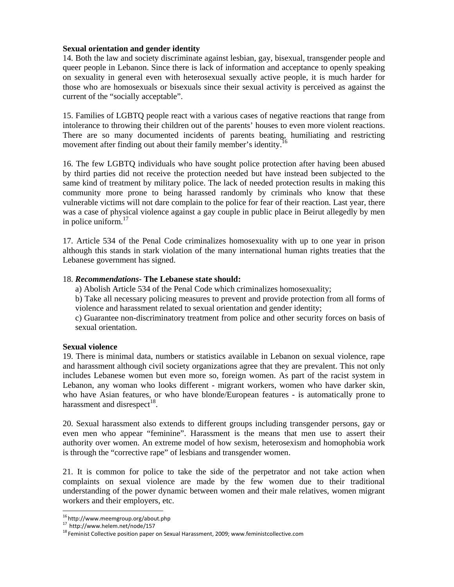# **Sexual orientation and gender identity**

14. Both the law and society discriminate against lesbian, gay, bisexual, transgender people and queer people in Lebanon. Since there is lack of information and acceptance to openly speaking on sexuality in general even with heterosexual sexually active people, it is much harder for those who are homosexuals or bisexuals since their sexual activity is perceived as against the current of the "socially acceptable".

15. Families of LGBTQ people react with a various cases of negative reactions that range from intolerance to throwing their children out of the parents' houses to even more violent reactions. There are so many documented incidents of parents beating, humiliating and restricting movement after finding out about their family member's identity.<sup>1</sup>

16. The few LGBTQ individuals who have sought police protection after having been abused by third parties did not receive the protection needed but have instead been subjected to the same kind of treatment by military police. The lack of needed protection results in making this community more prone to being harassed randomly by criminals who know that these vulnerable victims will not dare complain to the police for fear of their reaction. Last year, there was a case of physical violence against a gay couple in public place in Beirut allegedly by men in police uniform. $17$ 

17. Article 534 of the Penal Code criminalizes homosexuality with up to one year in prison although this stands in stark violation of the many international human rights treaties that the Lebanese government has signed.

# 18. *Recommendations-* **The Lebanese state should:**

a) Abolish Article 534 of the Penal Code which criminalizes homosexuality;

b) Take all necessary policing measures to prevent and provide protection from all forms of violence and harassment related to sexual orientation and gender identity;

c) Guarantee non-discriminatory treatment from police and other security forces on basis of sexual orientation.

# **Sexual violence**

19. There is minimal data, numbers or statistics available in Lebanon on sexual violence, rape and harassment although civil society organizations agree that they are prevalent. This not only includes Lebanese women but even more so, foreign women. As part of the racist system in Lebanon, any woman who looks different - migrant workers, women who have darker skin, who have Asian features, or who have blonde/European features - is automatically prone to harassment and disrespect<sup>18</sup>.

20. Sexual harassment also extends to different groups including transgender persons, gay or even men who appear "feminine". Harassment is the means that men use to assert their authority over women. An extreme model of how sexism, heterosexism and homophobia work is through the "corrective rape" of lesbians and transgender women.

21. It is common for police to take the side of the perpetrator and not take action when complaints on sexual violence are made by the few women due to their traditional understanding of the power dynamic between women and their male relatives, women migrant workers and their employers, etc.

<sup>&</sup>lt;sup>16</sup> http://www.meemgroup.org/about.php

<sup>&</sup>lt;sup>17</sup> http://www.helem.net/node/157<br><sup>18</sup> Feminist Collective position paper on Sexual Harassment, 2009; www.feministcollective.com